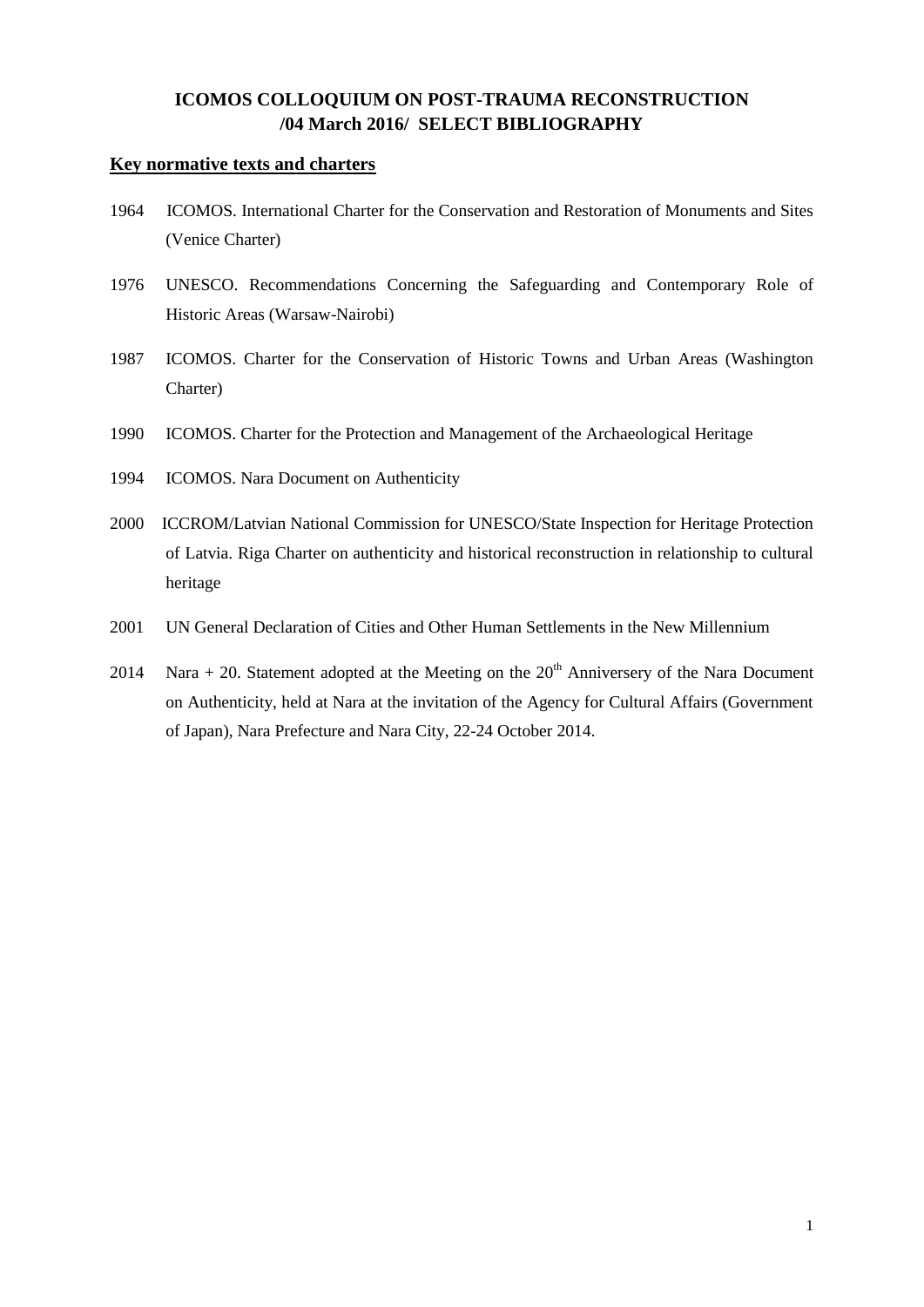## **ICOMOS COLLOQUIUM ON POST-TRAUMA RECONSTRUCTION /04 March 2016/ SELECT BIBLIOGRAPHY**

### **Key normative texts and charters**

- 1964 ICOMOS. International Charter for the Conservation and Restoration of Monuments and Sites (Venice Charter)
- 1976 UNESCO. Recommendations Concerning the Safeguarding and Contemporary Role of Historic Areas (Warsaw-Nairobi)
- 1987 ICOMOS. Charter for the Conservation of Historic Towns and Urban Areas (Washington Charter)
- 1990 ICOMOS. Charter for the Protection and Management of the Archaeological Heritage
- 1994 ICOMOS. Nara Document on Authenticity
- 2000 ICCROM/Latvian National Commission for UNESCO/State Inspection for Heritage Protection of Latvia. Riga Charter on authenticity and historical reconstruction in relationship to cultural heritage
- 2001 UN General Declaration of Cities and Other Human Settlements in the New Millennium
- 2014 Nara + 20. Statement adopted at the Meeting on the  $20<sup>th</sup>$  Anniversery of the Nara Document on Authenticity, held at Nara at the invitation of the Agency for Cultural Affairs (Government of Japan), Nara Prefecture and Nara City, 22-24 October 2014.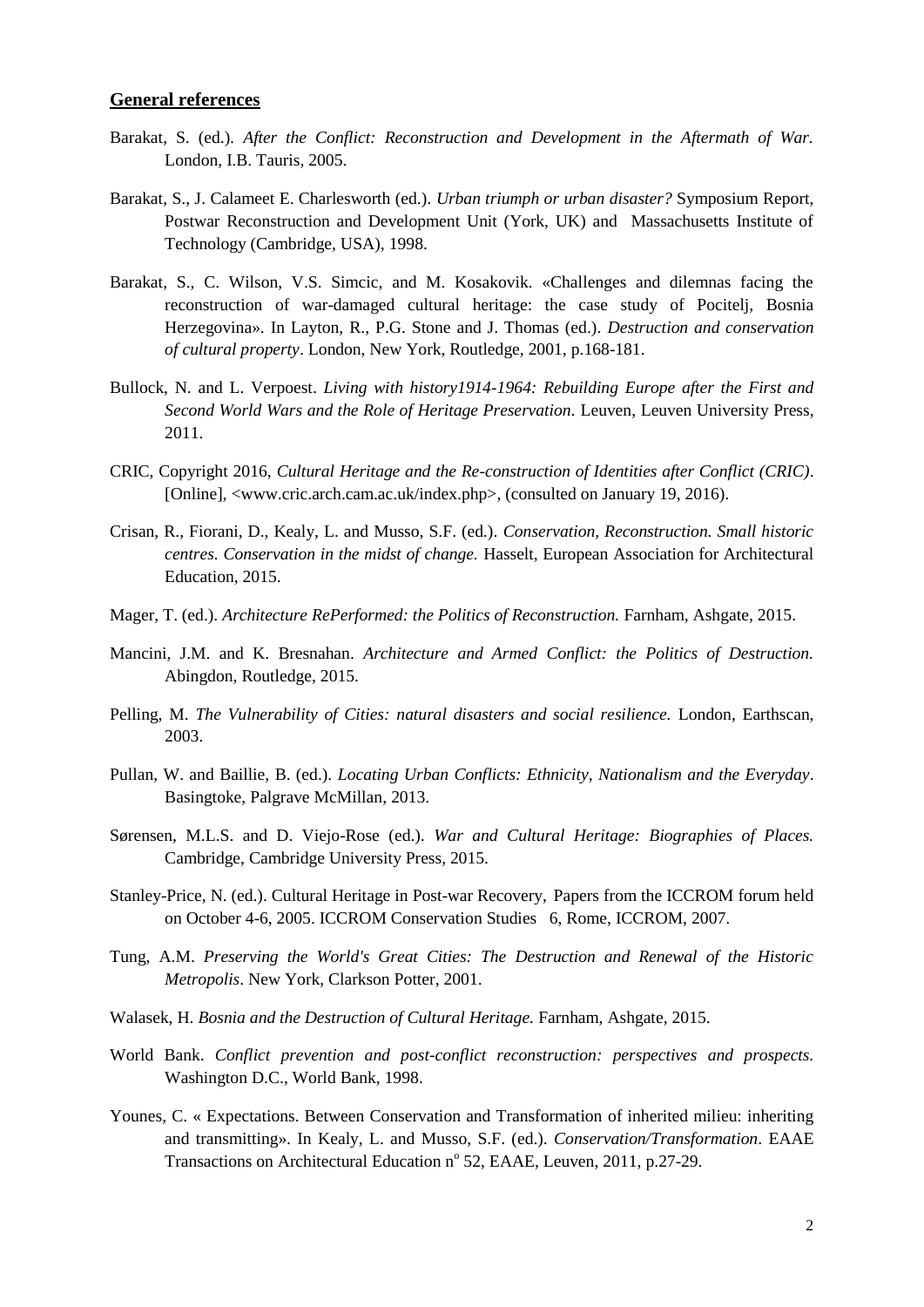#### **General references**

- Barakat, S. (ed.). *After the Conflict: Reconstruction and Development in the Aftermath of War.* London, I.B. Tauris, 2005.
- Barakat, S., J. Calameet E. Charlesworth (ed.). *Urban triumph or urban disaster?* Symposium Report, Postwar Reconstruction and Development Unit (York, UK) and Massachusetts Institute of Technology (Cambridge, USA), 1998.
- Barakat, S., C. Wilson, V.S. Simcic, and M. Kosakovik. «Challenges and dilemnas facing the reconstruction of war-damaged cultural heritage: the case study of Pocitelj, Bosnia Herzegovina». In Layton, R., P.G. Stone and J. Thomas (ed.). *Destruction and conservation of cultural property*. London, New York, Routledge, 2001, p.168-181.
- Bullock, N. and L. Verpoest. *Living with history1914-1964: Rebuilding Europe after the First and Second World Wars and the Role of Heritage Preservation.* Leuven, Leuven University Press, 2011.
- CRIC, Copyright 2016, *Cultural Heritage and the Re-construction of Identities after Conflict (CRIC)*. [Online], <www.cric.arch.cam.ac.uk/index.php>, (consulted on January 19, 2016).
- Crisan, R., Fiorani, D., Kealy, L. and Musso, S.F. (ed.). *Conservation, Reconstruction. Small historic centres. Conservation in the midst of change.* Hasselt, European Association for Architectural Education, 2015.
- Mager, T. (ed.). *Architecture RePerformed: the Politics of Reconstruction*. Farnham, Ashgate, 2015.
- Mancini, J.M. and K. Bresnahan. *Architecture and Armed Conflict: the Politics of Destruction.* Abingdon, Routledge, 2015.
- Pelling, M. *The Vulnerability of Cities: natural disasters and social resilience.* London, Earthscan, 2003.
- Pullan, W. and Baillie, B. (ed.). *Locating Urban Conflicts: Ethnicity, Nationalism and the Everyday*. Basingtoke, Palgrave McMillan, 2013.
- Sørensen, M.L.S. and D. Viejo-Rose (ed.). *War and Cultural Heritage: Biographies of Places.* Cambridge, Cambridge University Press, 2015.
- Stanley-Price, N. (ed.). Cultural Heritage in Post-war Recovery, Papers from the ICCROM forum held on October 4-6, 2005. ICCROM Conservation Studies 6, Rome, ICCROM, 2007.
- Tung, A.M. *Preserving the World's Great Cities: The Destruction and Renewal of the Historic Metropolis*. New York, Clarkson Potter, 2001.
- Walasek, H. *Bosnia and the Destruction of Cultural Heritage.* Farnham, Ashgate, 2015.
- World Bank. *Conflict prevention and post-conflict reconstruction: perspectives and prospects.* Washington D.C., World Bank, 1998.
- Younes, C. « Expectations. Between Conservation and Transformation of inherited milieu: inheriting and transmitting». In Kealy, L. and Musso, S.F. (ed.). *Conservation/Transformation*. EAAE Transactions on Architectural Education n° 52, EAAE, Leuven, 2011, p.27-29.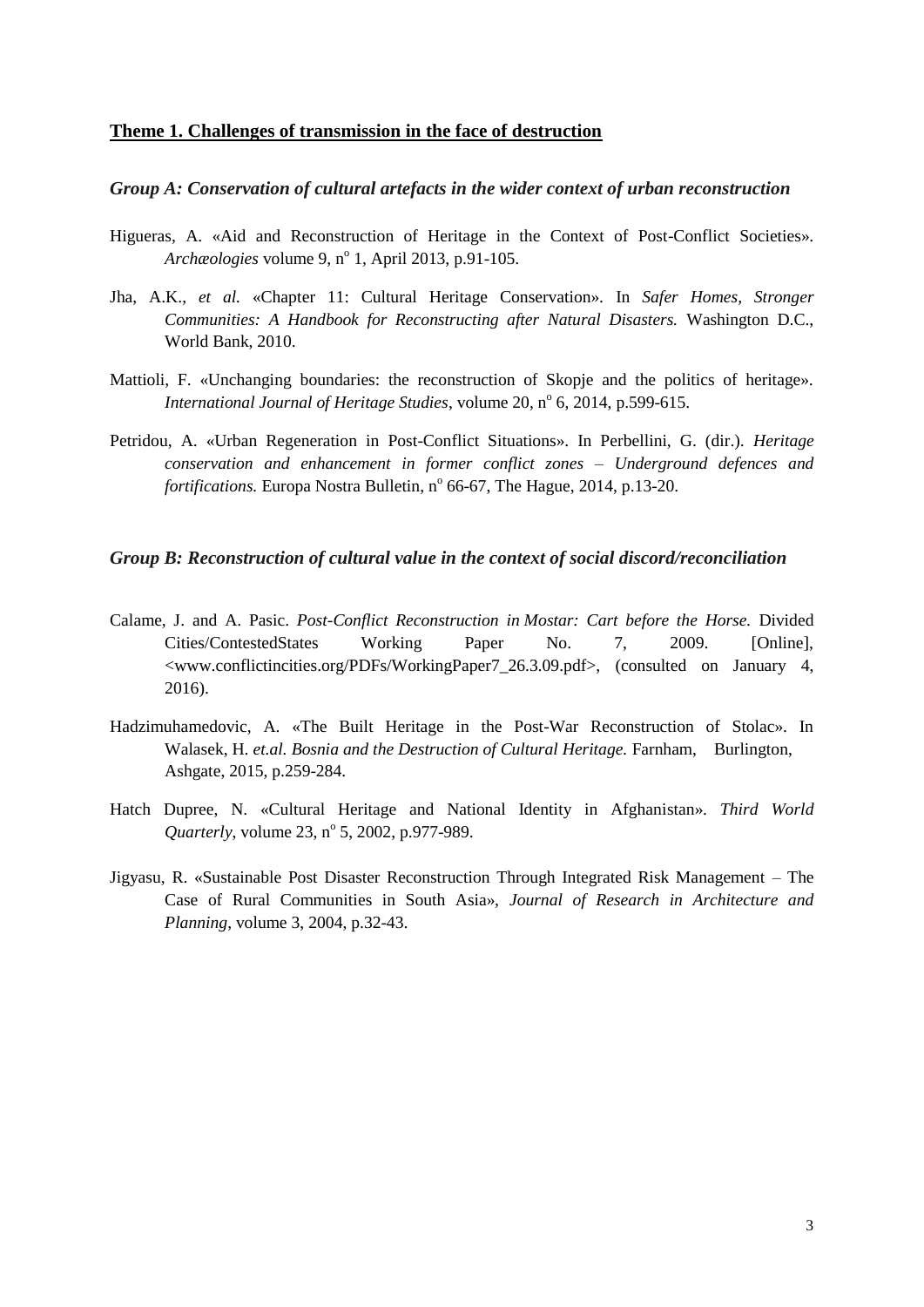### **Theme 1. Challenges of transmission in the face of destruction**

#### *Group A: Conservation of cultural artefacts in the wider context of urban reconstruction*

- Higueras, A. «Aid and Reconstruction of Heritage in the Context of Post-Conflict Societies». Archæologies volume 9, n<sup>o</sup> 1, April 2013, p.91-105.
- Jha, A.K., *et al.* «Chapter 11: Cultural Heritage Conservation». In *Safer Homes, Stronger Communities: A Handbook for Reconstructing after Natural Disasters.* Washington D.C., World Bank, 2010.
- Mattioli, F. «Unchanging boundaries: the reconstruction of Skopje and the politics of heritage». International Journal of Heritage Studies, volume 20, n° 6, 2014, p.599-615.
- Petridou, A. «Urban Regeneration in Post-Conflict Situations». In Perbellini, G. (dir.). *Heritage conservation and enhancement in former conflict zones – Underground defences and fortifications*. Europa Nostra Bulletin, n<sup>o</sup> 66-67, The Hague, 2014, p.13-20.

#### *Group B: Reconstruction of cultural value in the context of social discord/reconciliation*

- Calame, J. and A. Pasic. *Post-Conflict Reconstruction in Mostar: Cart before the Horse.* Divided Cities/ContestedStates Working Paper No. 7, 2009. [Online], <www.conflictincities.org/PDFs/WorkingPaper7\_26.3.09.pdf>, (consulted on January 4, 2016).
- Hadzimuhamedovic, A. «The Built Heritage in the Post-War Reconstruction of Stolac». In Walasek, H. *et.al. Bosnia and the Destruction of Cultural Heritage*. Farnham, Burlington, Ashgate, 2015, p.259-284.
- Hatch Dupree, N. «Cultural Heritage and National Identity in Afghanistan». *Third World* Quarterly, volume 23, n° 5, 2002, p.977-989.
- Jigyasu, R. «Sustainable Post Disaster Reconstruction Through Integrated Risk Management The Case of Rural Communities in South Asia», *Journal of Research in Architecture and Planning*, volume 3, 2004, p.32-43.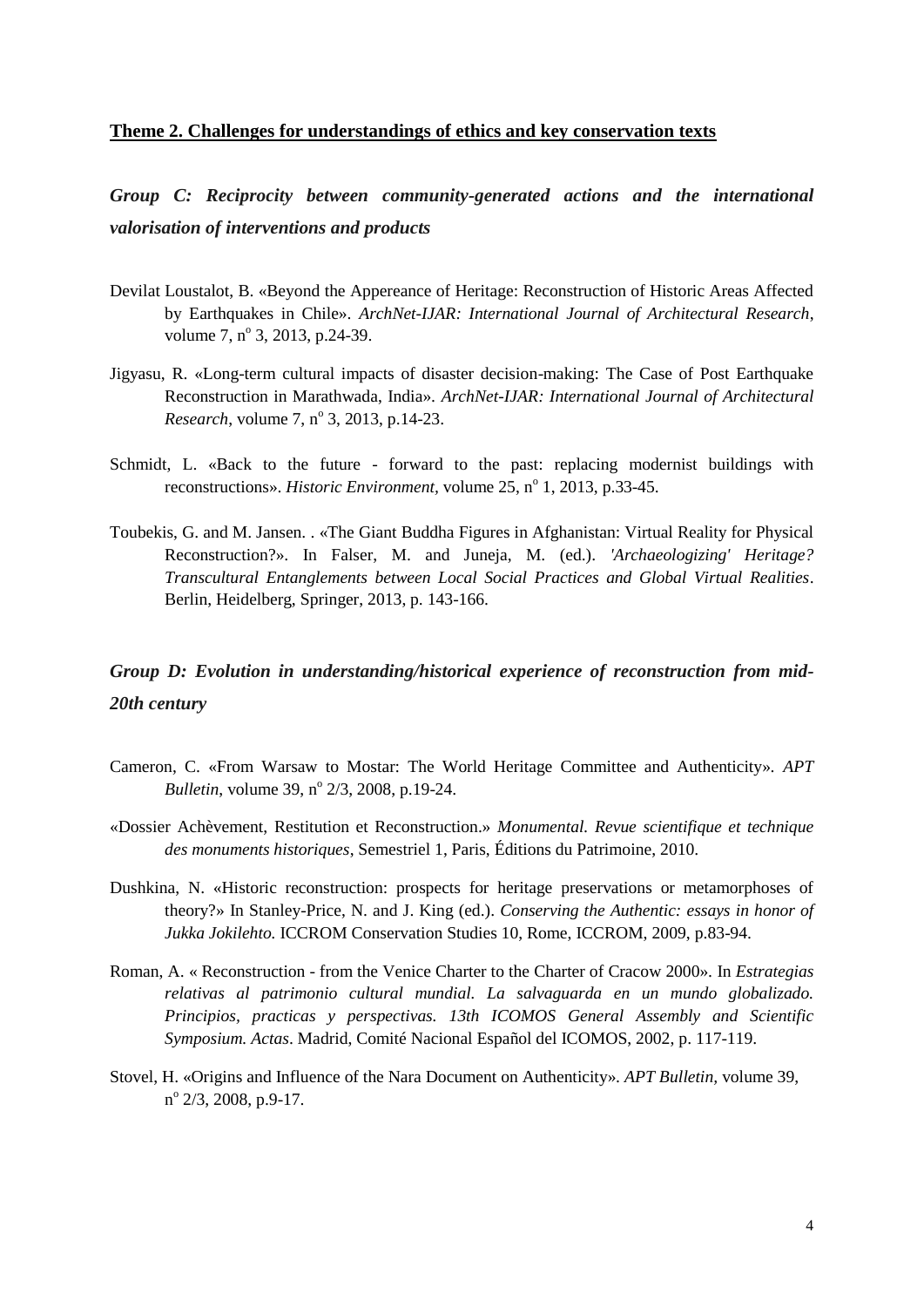### **Theme 2. Challenges for understandings of ethics and key conservation texts**

*Group C: Reciprocity between community-generated actions and the international valorisation of interventions and products*

- Devilat Loustalot, B. «Beyond the Appereance of Heritage: Reconstruction of Historic Areas Affected by Earthquakes in Chile». *ArchNet-IJAR: International Journal of Architectural Research*, volume 7,  $n^{\circ}$  3, 2013, p.24-39.
- Jigyasu, R. «Long-term cultural impacts of disaster decision-making: The Case of Post Earthquake Reconstruction in Marathwada, India». *ArchNet-IJAR: International Journal of Architectural Research*, volume 7, n° 3, 2013, p.14-23.
- Schmidt, L. «Back to the future forward to the past: replacing modernist buildings with reconstructions». *Historic Environment*, volume 25, n<sup>o</sup> 1, 2013, p.33-45.
- Toubekis, G. and M. Jansen. . «The Giant Buddha Figures in Afghanistan: Virtual Reality for Physical Reconstruction?». In Falser, M. and Juneja, M. (ed.). *'Archaeologizing' Heritage? Transcultural Entanglements between Local Social Practices and Global Virtual Realities*. Berlin, Heidelberg, Springer, 2013, p. 143-166.

# *Group D: Evolution in understanding/historical experience of reconstruction from mid-20th century*

- Cameron, C. «From Warsaw to Mostar: The World Heritage Committee and Authenticity». *APT Bulletin*, volume 39, n<sup>o</sup> 2/3, 2008, p.19-24.
- «Dossier Achèvement, Restitution et Reconstruction.» *Monumental. Revue scientifique et technique des monuments historiques*, Semestriel 1, Paris, Éditions du Patrimoine, 2010.
- Dushkina, N. «Historic reconstruction: prospects for heritage preservations or metamorphoses of theory?» In Stanley-Price, N. and J. King (ed.). *Conserving the Authentic: essays in honor of Jukka Jokilehto.* ICCROM Conservation Studies 10, Rome, ICCROM, 2009, p.83-94.
- Roman, A. « Reconstruction from the Venice Charter to the Charter of Cracow 2000». In *Estrategias relativas al patrimonio cultural mundial. La salvaguarda en un mundo globalizado. Principios, practicas y perspectivas. 13th ICOMOS General Assembly and Scientific Symposium. Actas*. Madrid, Comité Nacional Español del ICOMOS, 2002, p. 117-119.
- Stovel, H. «Origins and Influence of the Nara Document on Authenticity». *APT Bulletin,* volume 39, n<sup>o</sup> 2/3, 2008, p.9-17.